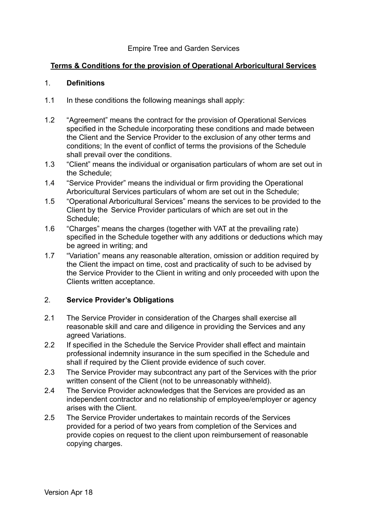#### Empire Tree and Garden Services

#### **Terms & Conditions for the provision of Operational Arboricultural Services**

#### 1. **Definitions**

- 1.1 In these conditions the following meanings shall apply:
- 1.2 "Agreement" means the contract for the provision of Operational Services specified in the Schedule incorporating these conditions and made between the Client and the Service Provider to the exclusion of any other terms and conditions; In the event of conflict of terms the provisions of the Schedule shall prevail over the conditions.
- 1.3 "Client" means the individual or organisation particulars of whom are set out in the Schedule;
- 1.4 "Service Provider" means the individual or firm providing the Operational Arboricultural Services particulars of whom are set out in the Schedule;
- 1.5 "Operational Arboricultural Services" means the services to be provided to the Client by the Service Provider particulars of which are set out in the Schedule;
- 1.6 "Charges" means the charges (together with VAT at the prevailing rate) specified in the Schedule together with any additions or deductions which may be agreed in writing; and
- 1.7 "Variation" means any reasonable alteration, omission or addition required by the Client the impact on time, cost and practicality of such to be advised by the Service Provider to the Client in writing and only proceeded with upon the Clients written acceptance.

#### 2. **Service Provider's Obligations**

- 2.1 The Service Provider in consideration of the Charges shall exercise all reasonable skill and care and diligence in providing the Services and any agreed Variations.
- 2.2 If specified in the Schedule the Service Provider shall effect and maintain professional indemnity insurance in the sum specified in the Schedule and shall if required by the Client provide evidence of such cover.
- 2.3 The Service Provider may subcontract any part of the Services with the prior written consent of the Client (not to be unreasonably withheld).
- 2.4 The Service Provider acknowledges that the Services are provided as an independent contractor and no relationship of employee/employer or agency arises with the Client.
- 2.5 The Service Provider undertakes to maintain records of the Services provided for a period of two years from completion of the Services and provide copies on request to the client upon reimbursement of reasonable copying charges.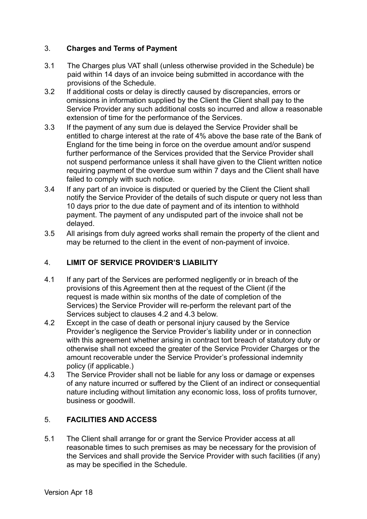## 3. **Charges and Terms of Payment**

- 3.1 The Charges plus VAT shall (unless otherwise provided in the Schedule) be paid within 14 days of an invoice being submitted in accordance with the provisions of the Schedule.
- 3.2 If additional costs or delay is directly caused by discrepancies, errors or omissions in information supplied by the Client the Client shall pay to the Service Provider any such additional costs so incurred and allow a reasonable extension of time for the performance of the Services.
- 3.3 If the payment of any sum due is delayed the Service Provider shall be entitled to charge interest at the rate of 4% above the base rate of the Bank of England for the time being in force on the overdue amount and/or suspend further performance of the Services provided that the Service Provider shall not suspend performance unless it shall have given to the Client written notice requiring payment of the overdue sum within 7 days and the Client shall have failed to comply with such notice.
- 3.4 If any part of an invoice is disputed or queried by the Client the Client shall notify the Service Provider of the details of such dispute or query not less than 10 days prior to the due date of payment and of its intention to withhold payment. The payment of any undisputed part of the invoice shall not be delayed.
- 3.5 All arisings from duly agreed works shall remain the property of the client and may be returned to the client in the event of non-payment of invoice.

## 4. **LIMIT OF SERVICE PROVIDER'S LIABILITY**

- 4.1 If any part of the Services are performed negligently or in breach of the provisions of this Agreement then at the request of the Client (if the request is made within six months of the date of completion of the Services) the Service Provider will re-perform the relevant part of the Services subject to clauses 4.2 and 4.3 below.
- 4.2 Except in the case of death or personal injury caused by the Service Provider's negligence the Service Provider's liability under or in connection with this agreement whether arising in contract tort breach of statutory duty or otherwise shall not exceed the greater of the Service Provider Charges or the amount recoverable under the Service Provider's professional indemnity policy (if applicable.)
- 4.3 The Service Provider shall not be liable for any loss or damage or expenses of any nature incurred or suffered by the Client of an indirect or consequential nature including without limitation any economic loss, loss of profits turnover, business or goodwill.

## 5. **FACILITIES AND ACCESS**

5.1 The Client shall arrange for or grant the Service Provider access at all reasonable times to such premises as may be necessary for the provision of the Services and shall provide the Service Provider with such facilities (if any) as may be specified in the Schedule.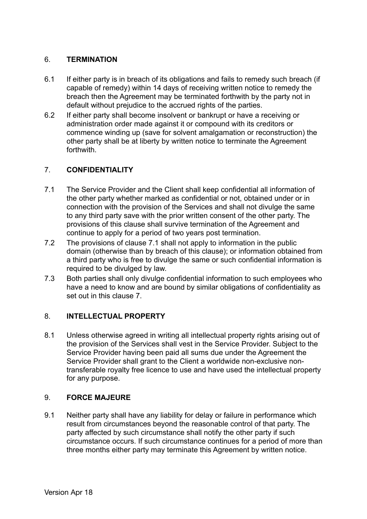#### 6. **TERMINATION**

- 6.1 If either party is in breach of its obligations and fails to remedy such breach (if capable of remedy) within 14 days of receiving written notice to remedy the breach then the Agreement may be terminated forthwith by the party not in default without prejudice to the accrued rights of the parties.
- 6.2 If either party shall become insolvent or bankrupt or have a receiving or administration order made against it or compound with its creditors or commence winding up (save for solvent amalgamation or reconstruction) the other party shall be at liberty by written notice to terminate the Agreement forthwith.

## 7. **CONFIDENTIALITY**

- 7.1 The Service Provider and the Client shall keep confidential all information of the other party whether marked as confidential or not, obtained under or in connection with the provision of the Services and shall not divulge the same to any third party save with the prior written consent of the other party. The provisions of this clause shall survive termination of the Agreement and continue to apply for a period of two years post termination.
- 7.2 The provisions of clause 7.1 shall not apply to information in the public domain (otherwise than by breach of this clause); or information obtained from a third party who is free to divulge the same or such confidential information is required to be divulged by law.
- 7.3 Both parties shall only divulge confidential information to such employees who have a need to know and are bound by similar obligations of confidentiality as set out in this clause 7.

## 8. **INTELLECTUAL PROPERTY**

8.1 Unless otherwise agreed in writing all intellectual property rights arising out of the provision of the Services shall vest in the Service Provider. Subject to the Service Provider having been paid all sums due under the Agreement the Service Provider shall grant to the Client a worldwide non-exclusive non transferable royalty free licence to use and have used the intellectual property for any purpose.

## 9. **FORCE MAJEURE**

9.1 Neither party shall have any liability for delay or failure in performance which result from circumstances beyond the reasonable control of that party. The party affected by such circumstance shall notify the other party if such circumstance occurs. If such circumstance continues for a period of more than three months either party may terminate this Agreement by written notice.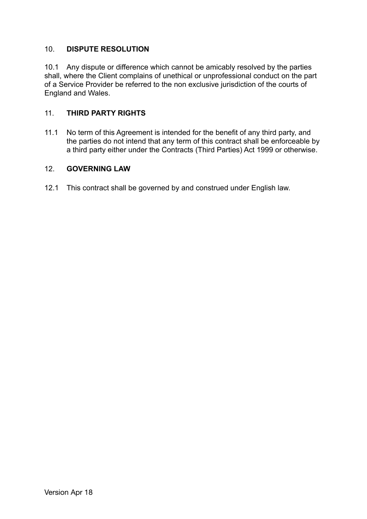#### 10. **DISPUTE RESOLUTION**

10.1 Any dispute or difference which cannot be amicably resolved by the parties shall, where the Client complains of unethical or unprofessional conduct on the part of a Service Provider be referred to the non exclusive jurisdiction of the courts of England and Wales.

#### 11. **THIRD PARTY RIGHTS**

11.1 No term of this Agreement is intended for the benefit of any third party, and the parties do not intend that any term of this contract shall be enforceable by a third party either under the Contracts (Third Parties) Act 1999 or otherwise.

#### 12. **GOVERNING LAW**

12.1 This contract shall be governed by and construed under English law.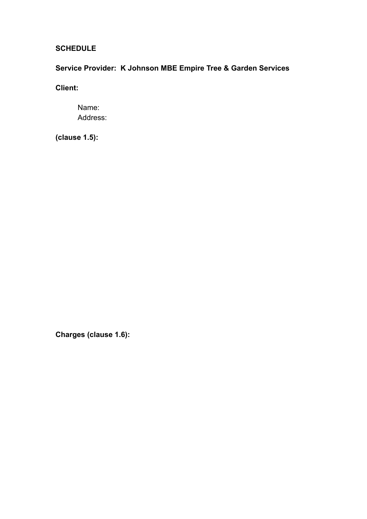## **SCHEDULE**

# **Service Provider: K Johnson MBE Empire Tree & Garden Services**

**Client:** 

Name: Address:

**(clause 1.5):** 

**Charges (clause 1.6):**